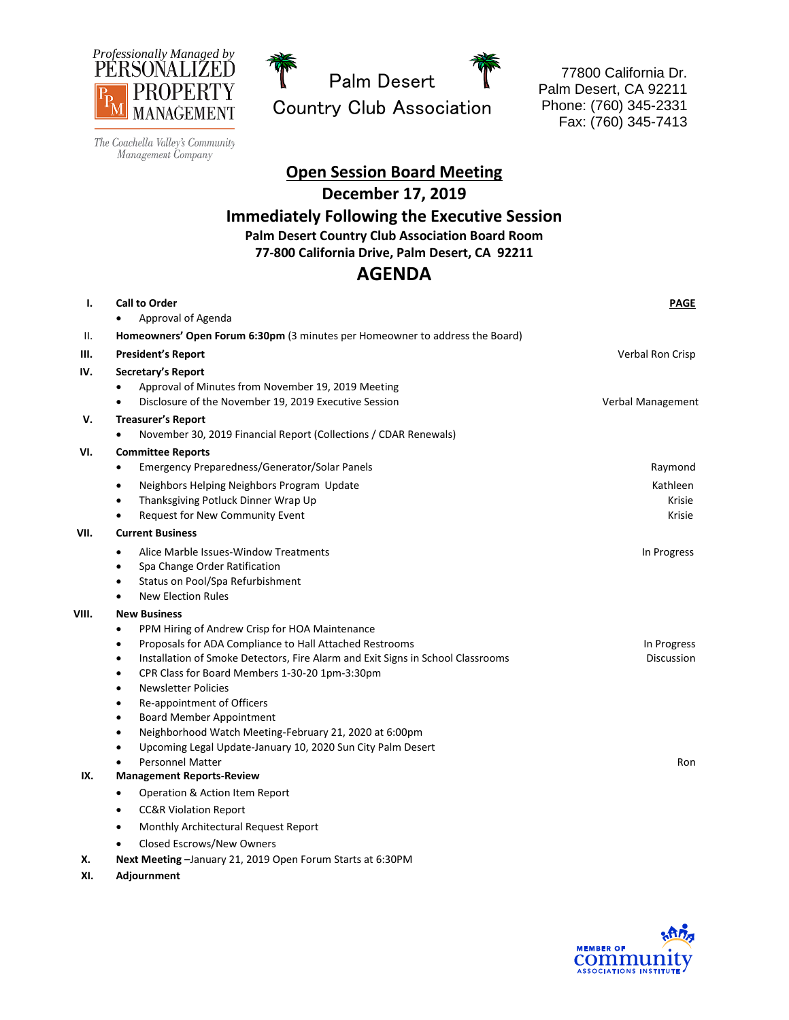



77800 California Dr. Palm Desert, CA 92211 Phone: (760) 345-2331 Fax: (760) 345-7413

The Coachella Valley's Community Management Company

> **Open Session Board Meeting December 17, 2019 Immediately Following the Executive Session Palm Desert Country Club Association Board Room 77-800 California Drive, Palm Desert, CA 92211**

## **AGENDA**

| ı.    | <b>Call to Order</b><br>Approval of Agenda                                                                                                                                                                                                                                                                                                                                                                                                                                                                                                                                                               | PAGE                                    |
|-------|----------------------------------------------------------------------------------------------------------------------------------------------------------------------------------------------------------------------------------------------------------------------------------------------------------------------------------------------------------------------------------------------------------------------------------------------------------------------------------------------------------------------------------------------------------------------------------------------------------|-----------------------------------------|
| II.   | Homeowners' Open Forum 6:30pm (3 minutes per Homeowner to address the Board)                                                                                                                                                                                                                                                                                                                                                                                                                                                                                                                             |                                         |
| Ш.    | <b>President's Report</b>                                                                                                                                                                                                                                                                                                                                                                                                                                                                                                                                                                                | Verbal Ron Crisp                        |
| IV.   | Secretary's Report<br>Approval of Minutes from November 19, 2019 Meeting<br>Disclosure of the November 19, 2019 Executive Session                                                                                                                                                                                                                                                                                                                                                                                                                                                                        | Verbal Management                       |
| v.    | <b>Treasurer's Report</b><br>November 30, 2019 Financial Report (Collections / CDAR Renewals)                                                                                                                                                                                                                                                                                                                                                                                                                                                                                                            |                                         |
| VI.   | <b>Committee Reports</b><br>Emergency Preparedness/Generator/Solar Panels<br>$\bullet$<br>Neighbors Helping Neighbors Program Update<br>$\bullet$<br>Thanksgiving Potluck Dinner Wrap Up<br>$\bullet$<br>Request for New Community Event                                                                                                                                                                                                                                                                                                                                                                 | Raymond<br>Kathleen<br>Krisie<br>Krisie |
| VII.  | <b>Current Business</b>                                                                                                                                                                                                                                                                                                                                                                                                                                                                                                                                                                                  |                                         |
|       | Alice Marble Issues-Window Treatments<br>$\bullet$<br>Spa Change Order Ratification<br>$\bullet$<br>Status on Pool/Spa Refurbishment<br>$\bullet$<br><b>New Election Rules</b>                                                                                                                                                                                                                                                                                                                                                                                                                           | In Progress                             |
| VIII. | <b>New Business</b><br>PPM Hiring of Andrew Crisp for HOA Maintenance<br>Proposals for ADA Compliance to Hall Attached Restrooms<br>$\bullet$<br>Installation of Smoke Detectors, Fire Alarm and Exit Signs in School Classrooms<br>$\bullet$<br>CPR Class for Board Members 1-30-20 1pm-3:30pm<br>$\bullet$<br><b>Newsletter Policies</b><br>٠<br>Re-appointment of Officers<br>$\bullet$<br><b>Board Member Appointment</b><br>٠<br>Neighborhood Watch Meeting-February 21, 2020 at 6:00pm<br>$\bullet$<br>Upcoming Legal Update-January 10, 2020 Sun City Palm Desert<br>٠<br><b>Personnel Matter</b> | In Progress<br>Discussion<br>Ron        |
| IX.   | <b>Management Reports-Review</b>                                                                                                                                                                                                                                                                                                                                                                                                                                                                                                                                                                         |                                         |
|       | Operation & Action Item Report<br>$\bullet$<br><b>CC&amp;R Violation Report</b><br>٠<br>Monthly Architectural Request Report<br>٠<br>Closed Escrows/New Owners                                                                                                                                                                                                                                                                                                                                                                                                                                           |                                         |

**X. Next Meeting –**January 21, 2019 Open Forum Starts at 6:30PM

**XI. Adjournment**